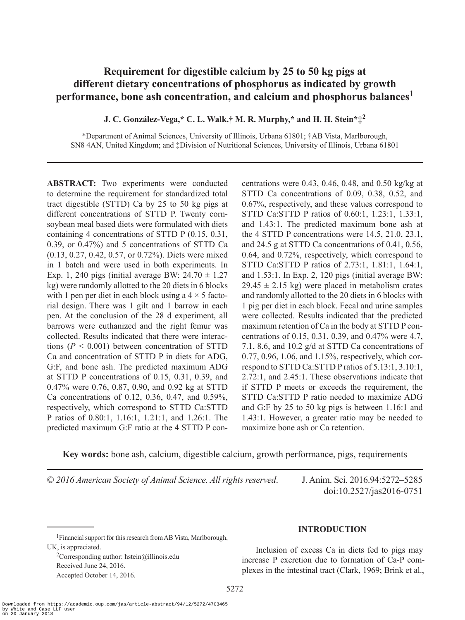# **Requirement for digestible calcium by 25 to 50 kg pigs at different dietary concentrations of phosphorus as indicated by growth performance, bone ash concentration, and calcium and phosphorus balances1**

**J. C. González-Vega,\* C. L. Walk,† M. R. Murphy,\* and H. H. Stein\*‡2**

\*Department of Animal Sciences, University of Illinois, Urbana 61801; †AB Vista, Marlborough, SN8 4AN, United Kingdom; and ‡Division of Nutritional Sciences, University of Illinois, Urbana 61801

**ABSTRACT:** Two experiments were conducted to determine the requirement for standardized total tract digestible (STTD) Ca by 25 to 50 kg pigs at different concentrations of STTD P. Twenty cornsoybean meal based diets were formulated with diets containing 4 concentrations of STTD P (0.15, 0.31, 0.39, or 0.47%) and 5 concentrations of STTD Ca (0.13, 0.27, 0.42, 0.57, or 0.72%). Diets were mixed in 1 batch and were used in both experiments. In Exp. 1, 240 pigs (initial average BW:  $24.70 \pm 1.27$ kg) were randomly allotted to the 20 diets in 6 blocks with 1 pen per diet in each block using a  $4 \times 5$  factorial design. There was 1 gilt and 1 barrow in each pen. At the conclusion of the 28 d experiment, all barrows were euthanized and the right femur was collected. Results indicated that there were interactions  $(P < 0.001)$  between concentration of STTD Ca and concentration of STTD P in diets for ADG, G:F, and bone ash. The predicted maximum ADG at STTD P concentrations of 0.15, 0.31, 0.39, and 0.47% were 0.76, 0.87, 0.90, and 0.92 kg at STTD Ca concentrations of 0.12, 0.36, 0.47, and 0.59%, respectively, which correspond to STTD Ca:STTD P ratios of 0.80:1, 1.16:1, 1.21:1, and 1.26:1. The predicted maximum G:F ratio at the 4 STTD P concentrations were 0.43, 0.46, 0.48, and 0.50 kg/kg at STTD Ca concentrations of 0.09, 0.38, 0.52, and 0.67%, respectively, and these values correspond to STTD Ca:STTD P ratios of 0.60:1, 1.23:1, 1.33:1, and 1.43:1. The predicted maximum bone ash at the 4 STTD P concentrations were 14.5, 21.0, 23.1, and 24.5 g at STTD Ca concentrations of 0.41, 0.56, 0.64, and 0.72%, respectively, which correspond to STTD Ca:STTD P ratios of 2.73:1, 1.81:1, 1.64:1, and 1.53:1. In Exp. 2, 120 pigs (initial average BW:  $29.45 \pm 2.15$  kg) were placed in metabolism crates and randomly allotted to the 20 diets in 6 blocks with 1 pig per diet in each block. Fecal and urine samples were collected. Results indicated that the predicted maximum retention of Ca in the body at STTD P concentrations of 0.15, 0.31, 0.39, and 0.47% were 4.7, 7.1, 8.6, and 10.2 g/d at STTD Ca concentrations of 0.77, 0.96, 1.06, and 1.15%, respectively, which correspond to STTD Ca:STTD P ratios of 5.13:1, 3.10:1, 2.72:1, and 2.45:1. These observations indicate that if STTD P meets or exceeds the requirement, the STTD Ca:STTD P ratio needed to maximize ADG and G:F by 25 to 50 kg pigs is between 1.16:1 and 1.43:1. However, a greater ratio may be needed to maximize bone ash or Ca retention.

**Key words:** bone ash, calcium, digestible calcium, growth performance, pigs, requirements

© *2016 American Society of Animal Science. All rights reserved*. J. Anim. Sci. 2016.94:5272–5285

doi:10.2527/jas2016-0751

1Financial support for this research from AB Vista, Marlborough,

UK, is appreciated.

<sup>2</sup>Corresponding author: hstein@illinois.edu Received June 24, 2016. Accepted October 14, 2016.

# **INTRODUCTION**

Inclusion of excess Ca in diets fed to pigs may increase P excretion due to formation of Ca-P complexes in the intestinal tract (Clark, 1969; Brink et al.,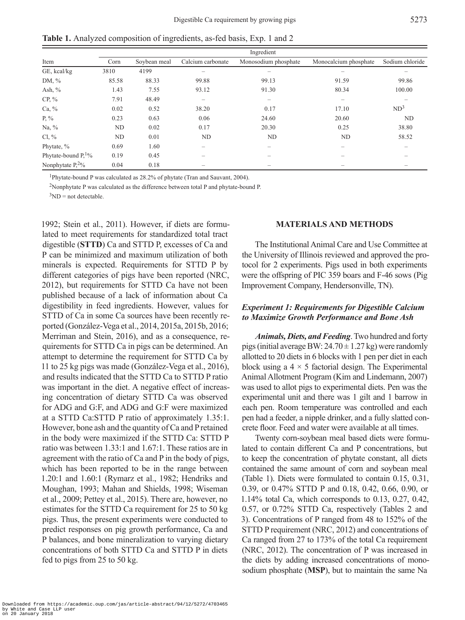**Table 1.** Analyzed composition of ingredients, as-fed basis, Exp. 1 and 2

|                                 | Ingredient |              |                   |                      |                       |                 |  |  |  |  |  |
|---------------------------------|------------|--------------|-------------------|----------------------|-----------------------|-----------------|--|--|--|--|--|
| Item                            | Corn       | Soybean meal | Calcium carbonate | Monosodium phosphate | Monocalcium phosphate | Sodium chloride |  |  |  |  |  |
| GE, kcal/kg                     | 3810       | 4199         | -                 |                      | -                     |                 |  |  |  |  |  |
| DM, $\%$                        | 85.58      | 88.33        | 99.88             | 99.13                | 91.59                 | 99.86           |  |  |  |  |  |
| Ash, $\%$                       | 1.43       | 7.55         | 93.12             | 91.30                | 80.34                 | 100.00          |  |  |  |  |  |
| $CP, \%$                        | 7.91       | 48.49        | -                 | -                    | -                     |                 |  |  |  |  |  |
| Ca, $\%$                        | 0.02       | 0.52         | 38.20             | 0.17                 | 17.10                 | ND <sup>3</sup> |  |  |  |  |  |
| P, $\%$                         | 0.23       | 0.63         | 0.06              | 24.60                | 20.60                 | ND              |  |  |  |  |  |
| Na, $\%$                        | ND         | 0.02         | 0.17              | 20.30                | 0.25                  | 38.80           |  |  |  |  |  |
| $Cl, \%$                        | ND         | 0.01         | ND                | ND                   | <b>ND</b>             | 58.52           |  |  |  |  |  |
| Phytate, %                      | 0.69       | 1.60         |                   | -                    | -                     |                 |  |  |  |  |  |
| Phytate-bound $P, \frac{10}{6}$ | 0.19       | 0.45         | -                 |                      |                       |                 |  |  |  |  |  |
| Nonphytate $P_1^2$ %            | 0.04       | 0.18         | -                 | -                    | -                     |                 |  |  |  |  |  |

1Phytate-bound P was calculated as 28.2% of phytate (Tran and Sauvant, 2004).

2Nonphytate P was calculated as the difference between total P and phytate-bound P.

 $3ND$  = not detectable.

1992; Stein et al., 2011). However, if diets are formulated to meet requirements for standardized total tract digestible (**STTD**) Ca and STTD P, excesses of Ca and P can be minimized and maximum utilization of both minerals is expected. Requirements for STTD P by different categories of pigs have been reported (NRC, 2012), but requirements for STTD Ca have not been published because of a lack of information about Ca digestibility in feed ingredients. However, values for STTD of Ca in some Ca sources have been recently reported (González-Vega et al., 2014, 2015a, 2015b, 2016; Merriman and Stein, 2016), and as a consequence, requirements for STTD Ca in pigs can be determined. An attempt to determine the requirement for STTD Ca by 11 to 25 kg pigs was made (González-Vega et al., 2016), and results indicated that the STTD Ca to STTD P ratio was important in the diet. A negative effect of increasing concentration of dietary STTD Ca was observed for ADG and G:F, and ADG and G:F were maximized at a STTD Ca:STTD P ratio of approximately 1.35:1. However, bone ash and the quantity of Ca and P retained in the body were maximized if the STTD Ca: STTD P ratio was between 1.33:1 and 1.67:1. These ratios are in agreement with the ratio of Ca and P in the body of pigs, which has been reported to be in the range between 1.20:1 and 1.60:1 (Rymarz et al., 1982; Hendriks and Moughan, 1993; Mahan and Shields, 1998; Wiseman et al., 2009; Pettey et al., 2015). There are, however, no estimates for the STTD Ca requirement for 25 to 50 kg pigs. Thus, the present experiments were conducted to predict responses on pig growth performance, Ca and P balances, and bone mineralization to varying dietary concentrations of both STTD Ca and STTD P in diets fed to pigs from 25 to 50 kg.

# **MATERIALS AND METHODS**

The Institutional Animal Care and Use Committee at the University of Illinois reviewed and approved the protocol for 2 experiments. Pigs used in both experiments were the offspring of PIC 359 boars and F-46 sows (Pig Improvement Company, Hendersonville, TN).

# *Experiment 1: Requirements for Digestible Calcium to Maximize Growth Performance and Bone Ash*

*Animals, Diets, and Feeding*. Two hundred and forty pigs (initial average BW:  $24.70 \pm 1.27$  kg) were randomly allotted to 20 diets in 6 blocks with 1 pen per diet in each block using a  $4 \times 5$  factorial design. The Experimental Animal Allotment Program (Kim and Lindemann, 2007) was used to allot pigs to experimental diets. Pen was the experimental unit and there was 1 gilt and 1 barrow in each pen. Room temperature was controlled and each pen had a feeder, a nipple drinker, and a fully slatted concrete floor. Feed and water were available at all times.

Twenty corn-soybean meal based diets were formulated to contain different Ca and P concentrations, but to keep the concentration of phytate constant, all diets contained the same amount of corn and soybean meal (Table 1). Diets were formulated to contain 0.15, 0.31, 0.39, or 0.47% STTD P and 0.18, 0.42, 0.66, 0.90, or 1.14% total Ca, which corresponds to 0.13, 0.27, 0.42, 0.57, or 0.72% STTD Ca, respectively (Tables 2 and 3). Concentrations of P ranged from 48 to 152% of the STTD P requirement (NRC, 2012) and concentrations of Ca ranged from 27 to 173% of the total Ca requirement (NRC, 2012). The concentration of P was increased in the diets by adding increased concentrations of monosodium phosphate (**MSP**), but to maintain the same Na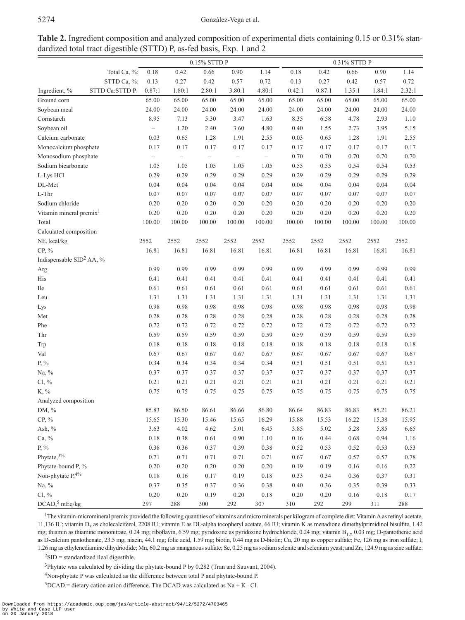Table 2. Ingredient composition and analyzed composition of experimental diets containing 0.15 or 0.31% standardized total tract digestible (STTD) P, as-fed basis, Exp. 1 and 2

|                                     | 0.15% STTD P    |                   |                   |                          |                          |                          | 0.31% STTD P |        |          |        |          |
|-------------------------------------|-----------------|-------------------|-------------------|--------------------------|--------------------------|--------------------------|--------------|--------|----------|--------|----------|
|                                     | Total Ca, %:    | 0.18              | 0.42              | 0.66                     | 0.90                     | 1.14                     | 0.18         | 0.42   | 0.66     | 0.90   | 1.14     |
|                                     | STTD Ca, %:     | 0.13              | 0.27              | 0.42                     | 0.57                     | 0.72                     | 0.13         | 0.27   | 0.42     | 0.57   | 0.72     |
| Ingredient, %                       | STTD Ca:STTD P: | 0.87:1            | 1.80:1            | 2.80:1                   | 3.80:1                   | 4.80:1                   | 0.42:1       | 0.87:1 | 1.35:1   | 1.84:1 | 2.32:1   |
| Ground corn                         |                 | 65.00             | 65.00             | 65.00                    | 65.00                    | 65.00                    | 65.00        | 65.00  | 65.00    | 65.00  | 65.00    |
| Soybean meal                        |                 | 24.00             | 24.00             | 24.00                    | 24.00                    | 24.00                    | 24.00        | 24.00  | 24.00    | 24.00  | 24.00    |
| Cornstarch                          |                 | 8.95              | 7.13              | 5.30                     | 3.47                     | 1.63                     | 8.35         | 6.58   | 4.78     | 2.93   | 1.10     |
| Soybean oil                         |                 | $\qquad \qquad -$ | 1.20              | 2.40                     | 3.60                     | 4.80                     | 0.40         | 1.55   | 2.73     | 3.95   | 5.15     |
| Calcium carbonate                   |                 | 0.03              | 0.65              | 1.28                     | 1.91                     | 2.55                     | 0.03         | 0.65   | 1.28     | 1.91   | 2.55     |
| Monocalcium phosphate               |                 | 0.17              | 0.17              | 0.17                     | 0.17                     | 0.17                     | 0.17         | 0.17   | 0.17     | 0.17   | 0.17     |
| Monosodium phosphate                |                 | $\qquad \qquad -$ | $\qquad \qquad -$ | $\overline{\phantom{0}}$ | $\overline{\phantom{0}}$ | $\overline{\phantom{0}}$ | 0.70         | 0.70   | 0.70     | 0.70   | 0.70     |
| Sodium bicarbonate                  |                 | 1.05              | 1.05              | 1.05                     | 1.05                     | 1.05                     | 0.55         | 0.55   | 0.54     | 0.54   | 0.53     |
| L-Lys HCl                           |                 | 0.29              | 0.29              | 0.29                     | 0.29                     | 0.29                     | 0.29         | 0.29   | 0.29     | 0.29   | 0.29     |
| DL-Met                              |                 | 0.04              | 0.04              | 0.04                     | 0.04                     | 0.04                     | 0.04         | 0.04   | 0.04     | 0.04   | 0.04     |
| L-Thr                               |                 | 0.07              | $0.07\,$          | 0.07                     | $0.07\,$                 | 0.07                     | 0.07         | 0.07   | 0.07     | 0.07   | 0.07     |
| Sodium chloride                     |                 | 0.20              | 0.20              | 0.20                     | 0.20                     | 0.20                     | 0.20         | 0.20   | 0.20     | 0.20   | 0.20     |
| Vitamin mineral premix <sup>1</sup> |                 | 0.20              | 0.20              | 0.20                     | $0.20\,$                 | 0.20                     | 0.20         | 0.20   | 0.20     | 0.20   | $0.20\,$ |
| Total                               |                 | 100.00            | 100.00            | 100.00                   | 100.00                   | 100.00                   | 100.00       | 100.00 | 100.00   | 100.00 | 100.00   |
| Calculated composition              |                 |                   |                   |                          |                          |                          |              |        |          |        |          |
| NE, kcal/kg                         |                 | 2552              | 2552              | 2552                     | 2552                     | 2552                     | 2552         | 2552   | 2552     | 2552   | 2552     |
| CP, %                               |                 | 16.81             | 16.81             | 16.81                    | 16.81                    | 16.81                    | 16.81        | 16.81  | 16.81    | 16.81  | 16.81    |
| Indispensable $SID2 AA$ , %         |                 |                   |                   |                          |                          |                          |              |        |          |        |          |
| Arg                                 |                 | 0.99              | 0.99              | 0.99                     | 0.99                     | 0.99                     | 0.99         | 0.99   | 0.99     | 0.99   | 0.99     |
| His                                 |                 | 0.41              | 0.41              | 0.41                     | 0.41                     | 0.41                     | 0.41         | 0.41   | 0.41     | 0.41   | 0.41     |
| Ile                                 |                 | 0.61              | 0.61              | 0.61                     | 0.61                     | 0.61                     | 0.61         | 0.61   | $0.61\,$ | 0.61   | 0.61     |
| Leu                                 |                 | 1.31              | 1.31              | 1.31                     | 1.31                     | 1.31                     | 1.31         | 1.31   | 1.31     | 1.31   | 1.31     |
| Lys                                 |                 | 0.98              | 0.98              | 0.98                     | 0.98                     | 0.98                     | 0.98         | 0.98   | 0.98     | 0.98   | 0.98     |
| Met                                 |                 | 0.28              | 0.28              | 0.28                     | 0.28                     | 0.28                     | 0.28         | 0.28   | 0.28     | 0.28   | 0.28     |
| Phe                                 |                 | 0.72              | 0.72              | 0.72                     | 0.72                     | 0.72                     | 0.72         | 0.72   | 0.72     | 0.72   | 0.72     |
| Thr                                 |                 | 0.59              | 0.59              | 0.59                     | 0.59                     | 0.59                     | 0.59         | 0.59   | 0.59     | 0.59   | 0.59     |
| Trp                                 |                 | 0.18              | 0.18              | 0.18                     | 0.18                     | 0.18                     | 0.18         | 0.18   | 0.18     | 0.18   | 0.18     |
| Val                                 |                 | 0.67              | 0.67              | 0.67                     | 0.67                     | 0.67                     | 0.67         | 0.67   | 0.67     | 0.67   | 0.67     |
| P, %                                |                 | 0.34              | 0.34              | 0.34                     | 0.34                     | 0.34                     | 0.51         | 0.51   | $0.51\,$ | 0.51   | 0.51     |
| Na, %                               |                 | 0.37              | 0.37              | 0.37                     | 0.37                     | 0.37                     | 0.37         | 0.37   | 0.37     | 0.37   | 0.37     |
| Cl, %                               |                 | 0.21              | 0.21              | 0.21                     | 0.21                     | 0.21                     | 0.21         | 0.21   | 0.21     | 0.21   | 0.21     |
| K, %                                |                 | 0.75              | 0.75              | 0.75                     | 0.75                     | 0.75                     | 0.75         | 0.75   | 0.75     | 0.75   | 0.75     |
| Analyzed composition                |                 |                   |                   |                          |                          |                          |              |        |          |        |          |
| DM, %                               |                 | 85.83             | 86.50             | 86.61                    | 86.66                    | 86.80                    | 86.64        | 86.83  | 86.83    | 85.21  | 86.21    |
| CP, %                               |                 | 15.65             | 15.30             | 15.46                    | 15.65                    | 16.29                    | 15.88        | 15.53  | 16.22    | 15.38  | 15.95    |
| Ash, %                              |                 | 3.63              | 4.02              | 4.62                     | 5.01                     | 6.45                     | 3.85         | 5.02   | 5.28     | 5.85   | 6.65     |
| Ca, %                               |                 | 0.18              | 0.38              | 0.61                     | $0.90\,$                 | 1.10                     | 0.16         | 0.44   | 0.68     | 0.94   | 1.16     |
| P, $\%$                             |                 | 0.38              | 0.36              | 0.37                     | 0.39                     | 0.38                     | 0.52         | 0.53   | 0.52     | 0.53   | 0.53     |
| Phytate, 3%                         |                 | 0.71              | 0.71              | 0.71                     | 0.71                     | 0.71                     | 0.67         | 0.67   | 0.57     | 0.57   | $0.78\,$ |
| Phytate-bound P, %                  |                 | 0.20              | 0.20              | 0.20                     | 0.20                     | 0.20                     | 0.19         | 0.19   | 0.16     | 0.16   | 0.22     |
| Non-phytate P, <sup>4%</sup>        |                 | 0.18              | 0.16              | 0.17                     | 0.19                     | 0.18                     | 0.33         | 0.34   | 0.36     | 0.37   | 0.31     |
| Na, %                               |                 | 0.37              | 0.35              | 0.37                     | 0.36                     | 0.38                     | 0.40         | 0.36   | 0.35     | 0.39   | 0.33     |
| $Cl, \%$                            |                 | 0.20              | $0.20\,$          | 0.19                     | $0.20\,$                 | $0.18\,$                 | 0.20         | 0.20   | $0.16\,$ | 0.18   | $0.17\,$ |
| $DCAD$ , $5mEq/kg$                  |                 | 297               | 288               | 300                      | 292                      | 307                      | 310          | 292    | 299      | 311    | 288      |

1The vitamin-micromineral premix provided the following quantities of vitamins and micro minerals per kilogram of complete diet: Vitamin A as retinyl acetate, 11,136 IU; vitamin  $D_3$  as cholecalciferol, 2208 IU; vitamin E as DL-alpha tocopheryl acetate, 66 IU; vitamin K as menadione dimethylprimidinol bisulfite, 1.42 mg; thiamin as thiamine mononitrate, 0.24 mg; riboflavin, 6.59 mg; pyridoxine as pyridoxine hydrochloride, 0.24 mg; vitamin  $B_{12}$ , 0.03 mg; D-pantothenic acid as D-calcium pantothenate, 23.5 mg; niacin, 44.1 mg; folic acid, 1.59 mg; biotin, 0.44 mg as D-biotin; Cu, 20 mg as copper sulfate; Fe, 126 mg as iron sulfate; I, 1.26 mg as ethylenediamine dihydriodide; Mn, 60.2 mg as manganous sulfate; Se, 0.25 mg as sodium selenite and selenium yeast; and Zn, 124.9 mg as zinc sulfate.

 $2$ SID = standardized ileal digestible.

<sup>3</sup>Phytate was calculated by dividing the phytate-bound P by 0.282 (Tran and Sauvant, 2004).

4Non-phytate P was calculated as the difference between total P and phytate-bound P.

 $5DCAD =$  dietary cation-anion difference. The DCAD was calculated as Na + K– Cl.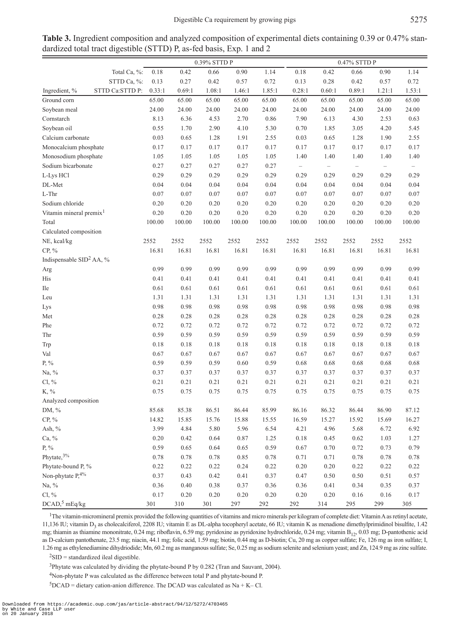**Table 3.** Ingredient composition and analyzed composition of experimental diets containing 0.39 or 0.47% standardized total tract digestible (STTD) P, as-fed basis, Exp. 1 and 2

|                                     | 0.39% STTD P    |        |         |        |        |        | 0.47% STTD P             |                          |                          |                          |        |
|-------------------------------------|-----------------|--------|---------|--------|--------|--------|--------------------------|--------------------------|--------------------------|--------------------------|--------|
|                                     | Total Ca, %:    | 0.18   | 0.42    | 0.66   | 0.90   | 1.14   | 0.18                     | 0.42                     | $0.66\,$                 | 0.90                     | 1.14   |
|                                     | STTD Ca, %:     | 0.13   | 0.27    | 0.42   | 0.57   | 0.72   | 0.13                     | 0.28                     | 0.42                     | 0.57                     | 0.72   |
| Ingredient, %                       | STTD Ca:STTD P: | 0.33:1 | 0.69:1  | 1.08:1 | 1.46:1 | 1.85:1 | 0.28:1                   | 0.60:1                   | 0.89:1                   | 1.21:1                   | 1.53:1 |
| Ground corn                         |                 | 65.00  | 65.00   | 65.00  | 65.00  | 65.00  | 65.00                    | 65.00                    | 65.00                    | 65.00                    | 65.00  |
| Soybean meal                        |                 | 24.00  | 24.00   | 24.00  | 24.00  | 24.00  | 24.00                    | 24.00                    | 24.00                    | 24.00                    | 24.00  |
| Cornstarch                          |                 | 8.13   | 6.36    | 4.53   | 2.70   | 0.86   | 7.90                     | 6.13                     | 4.30                     | 2.53                     | 0.63   |
| Soybean oil                         |                 | 0.55   | 1.70    | 2.90   | 4.10   | 5.30   | 0.70                     | 1.85                     | 3.05                     | 4.20                     | 5.45   |
| Calcium carbonate                   |                 | 0.03   | 0.65    | 1.28   | 1.91   | 2.55   | 0.03                     | 0.65                     | 1.28                     | 1.90                     | 2.55   |
| Monocalcium phosphate               |                 | 0.17   | 0.17    | 0.17   | 0.17   | 0.17   | 0.17                     | 0.17                     | 0.17                     | 0.17                     | 0.17   |
| Monosodium phosphate                |                 | 1.05   | 1.05    | 1.05   | 1.05   | 1.05   | 1.40                     | 1.40                     | 1.40                     | 1.40                     | 1.40   |
| Sodium bicarbonate                  |                 | 0.27   | 0.27    | 0.27   | 0.27   | 0.27   | $\overline{\phantom{a}}$ | $\overline{\phantom{0}}$ | $\overline{\phantom{a}}$ | $\overline{\phantom{a}}$ |        |
| L-Lys HCl                           |                 | 0.29   | 0.29    | 0.29   | 0.29   | 0.29   | 0.29                     | 0.29                     | 0.29                     | 0.29                     | 0.29   |
| DL-Met                              |                 | 0.04   | 0.04    | 0.04   | 0.04   | 0.04   | 0.04                     | 0.04                     | 0.04                     | 0.04                     | 0.04   |
| L-Thr                               |                 | 0.07   | 0.07    | 0.07   | 0.07   | 0.07   | 0.07                     | 0.07                     | 0.07                     | 0.07                     | 0.07   |
| Sodium chloride                     |                 | 0.20   | 0.20    | 0.20   | 0.20   | 0.20   | 0.20                     | 0.20                     | 0.20                     | 0.20                     | 0.20   |
| Vitamin mineral premix <sup>1</sup> |                 | 0.20   | 0.20    | 0.20   | 0.20   | 0.20   | 0.20                     | 0.20                     | 0.20                     | 0.20                     | 0.20   |
| Total                               |                 | 100.00 | 100.00  | 100.00 | 100.00 | 100.00 | 100.00                   | 100.00                   | 100.00                   | 100.00                   | 100.00 |
| Calculated composition              |                 |        |         |        |        |        |                          |                          |                          |                          |        |
| NE, kcal/kg                         |                 | 2552   | 2552    | 2552   | 2552   | 2552   | 2552                     | 2552                     | 2552                     | 2552                     | 2552   |
| CP, %                               |                 | 16.81  | 16.81   | 16.81  | 16.81  | 16.81  | 16.81                    | 16.81                    | 16.81                    | 16.81                    | 16.81  |
| Indispensable $SID2AA$ , %          |                 |        |         |        |        |        |                          |                          |                          |                          |        |
| Arg                                 |                 | 0.99   | 0.99    | 0.99   | 0.99   | 0.99   | 0.99                     | 0.99                     | 0.99                     | 0.99                     | 0.99   |
| His                                 |                 | 0.41   | 0.41    | 0.41   | 0.41   | 0.41   | 0.41                     | 0.41                     | 0.41                     | 0.41                     | 0.41   |
| Ile                                 |                 | 0.61   | 0.61    | 0.61   | 0.61   | 0.61   | 0.61                     | 0.61                     | 0.61                     | 0.61                     | 0.61   |
| Leu                                 |                 | 1.31   | 1.31    | 1.31   | 1.31   | 1.31   | 1.31                     | 1.31                     | 1.31                     | 1.31                     | 1.31   |
| Lys                                 |                 | 0.98   | 0.98    | 0.98   | 0.98   | 0.98   | 0.98                     | 0.98                     | 0.98                     | 0.98                     | 0.98   |
| Met                                 |                 | 0.28   | 0.28    | 0.28   | 0.28   | 0.28   | 0.28                     | 0.28                     | 0.28                     | 0.28                     | 0.28   |
| Phe                                 |                 | 0.72   | 0.72    | 0.72   | 0.72   | 0.72   | 0.72                     | 0.72                     | 0.72                     | 0.72                     | 0.72   |
| Thr                                 |                 | 0.59   | 0.59    | 0.59   | 0.59   | 0.59   | 0.59                     | 0.59                     | 0.59                     | 0.59                     | 0.59   |
| Trp                                 |                 | 0.18   | 0.18    | 0.18   | 0.18   | 0.18   | 0.18                     | 0.18                     | 0.18                     | 0.18                     | 0.18   |
| Val                                 |                 | 0.67   | 0.67    | 0.67   | 0.67   | 0.67   | 0.67                     | 0.67                     | 0.67                     | 0.67                     | 0.67   |
| $P, \%$                             |                 | 0.59   | 0.59    | 0.59   | 0.60   | 0.59   | 0.68                     | 0.68                     | 0.68                     | 0.68                     | 0.68   |
| Na, %                               |                 | 0.37   | 0.37    | 0.37   | 0.37   | 0.37   | 0.37                     | 0.37                     | 0.37                     | 0.37                     | 0.37   |
| Cl, %                               |                 | 0.21   | 0.21    | 0.21   | 0.21   | 0.21   | 0.21                     | 0.21                     | 0.21                     | 0.21                     | 0.21   |
| K, %                                |                 | 0.75   | 0.75    | 0.75   | 0.75   | 0.75   | 0.75                     | 0.75                     | 0.75                     | 0.75                     | 0.75   |
| Analyzed composition                |                 |        |         |        |        |        |                          |                          |                          |                          |        |
| DM, %                               |                 | 85.68  | 85.38   | 86.51  | 86.44  | 85.99  | 86.16                    | 86.32                    | 86.44                    | 86.90                    | 87.12  |
| CP, %                               |                 | 14.82  | 15.85   | 15.76  | 15.88  | 15.55  | 16.59                    | 15.27                    | 15.92                    | 15.69                    | 16.27  |
| Ash, %                              |                 | 3.99   | 4.84    | 5.80   | 5.96   | 6.54   | 4.21                     | 4.96                     | 5.68                     | 6.72                     | 6.92   |
| Ca, %                               |                 | 0.20   | 0.42    | 0.64   | 0.87   | 1.25   | 0.18                     | 0.45                     | 0.62                     | 1.03                     | 1.27   |
| P, %                                |                 | 0.59   | 0.65    | 0.64   | 0.65   | 0.59   | 0.67                     | 0.70                     | 0.72                     | 0.73                     | 0.79   |
| Phytate, 3%                         |                 | 0.78   | 0.78    | 0.78   | 0.85   | 0.78   | 0.71                     | 0.71                     | 0.78                     | 0.78                     | 0.78   |
| Phytate-bound P, %                  |                 | 0.22   | 0.22    | 0.22   | 0.24   | 0.22   | 0.20                     | 0.20                     | 0.22                     | 0.22                     | 0.22   |
| Non-phytate $P_1^{4\%}$             |                 | 0.37   | 0.43    | 0.42   | 0.41   | 0.37   | 0.47                     | 0.50                     | 0.50                     | 0.51                     | 0.57   |
| Na, %                               |                 | 0.36   | 0.40    | 0.38   | 0.37   | 0.36   | 0.36                     | 0.41                     | 0.34                     | 0.35                     | 0.37   |
| $Cl, \%$                            |                 | 0.17   | 0.20    | 0.20   | 0.20   | 0.20   | 0.20                     | 0.20                     | $0.16\,$                 | 0.16                     | 0.17   |
| DCAD, <sup>5</sup> mEq/kg           |                 | 301    | $310\,$ | 301    | 297    | 292    | 292                      | 314                      | 295                      | 299                      | 305    |

1The vitamin-micromineral premix provided the following quantities of vitamins and micro minerals per kilogram of complete diet: Vitamin A as retinyl acetate, 11,136 IU; vitamin  $D_3$  as cholecalciferol, 2208 IU; vitamin E as DL-alpha tocopheryl acetate, 66 IU; vitamin K as menadione dimethylprimidinol bisulfite, 1.42 mg; thiamin as thiamine mononitrate, 0.24 mg; riboflavin, 6.59 mg; pyridoxine as pyridoxine hydrochloride, 0.24 mg; vitamin  $B_{12}$ , 0.03 mg; D-pantothenic acid as D-calcium pantothenate, 23.5 mg; niacin, 44.1 mg; folic acid, 1.59 mg; biotin, 0.44 mg as D-biotin; Cu, 20 mg as copper sulfate; Fe, 126 mg as iron sulfate; I, 1.26 mg as ethylenediamine dihydriodide; Mn, 60.2 mg as manganous sulfate; Se, 0.25 mg as sodium selenite and selenium yeast; and Zn, 124.9 mg as zinc sulfate.

 $2$ SID = standardized ileal digestible.

3Phytate was calculated by dividing the phytate-bound P by 0.282 (Tran and Sauvant, 2004).

4Non-phytate P was calculated as the difference between total P and phytate-bound P.

 $5DCAD =$  dietary cation-anion difference. The DCAD was calculated as Na + K– Cl.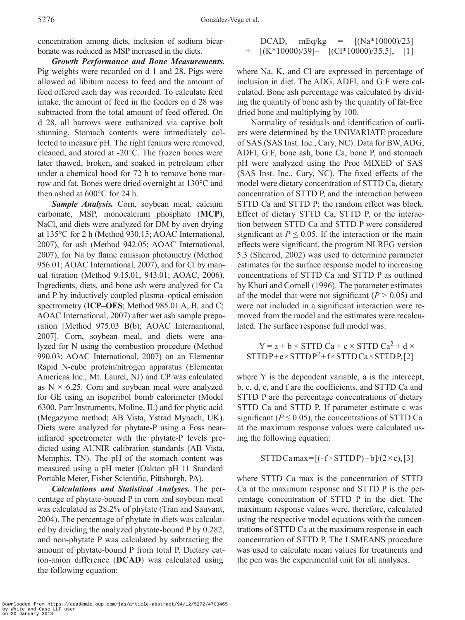concentration among diets, inclusion of sodium bicarbonate was reduced as MSP increased in the diets.

*Growth Performance and Bone Measurements.* Pig weights were recorded on d 1 and 28. Pigs were allowed ad libitum access to feed and the amount of feed offered each day was recorded. To calculate feed intake, the amount of feed in the feeders on d 28 was subtracted from the total amount of feed offered. On d 28, all barrows were euthanized via captive bolt stunning. Stomach contents were immediately collected to measure pH. The right femurs were removed, cleaned, and stored at -20°C. The frozen bones were later thawed, broken, and soaked in petroleum ether under a chemical hood for 72 h to remove bone marrow and fat. Bones were dried overnight at 130°C and then ashed at 600°C for 24 h.

*Sample Analysis.* Corn, soybean meal, calcium carbonate, MSP, monocalcium phosphate (**MCP**), NaCl, and diets were analyzed for DM by oven drying at 135°C for 2 h (Method 930.15; AOAC International, 2007), for ash (Method 942.05; AOAC International, 2007), for Na by flame emission photometry (Method 956.01; AOAC International, 2007), and for Cl by manual titration (Method 9.15.01, 943.01; AOAC, 2006). Ingredients, diets, and bone ash were analyzed for Ca and P by inductively coupled plasma–optical emission spectrometry (**ICP–OES**; Method 985.01 A, B, and C; AOAC International, 2007) after wet ash sample preparation [Method 975.03 B(b); AOAC Internantional, 2007]. Corn, soybean meal, and diets were analyzed for N using the combustion procedure (Method 990.03; AOAC International, 2007) on an Elementar Rapid N-cube protein/nitrogen apparatus (Elementar Americas Inc., Mt. Laurel, NJ) and CP was calculated as  $N \times 6.25$ . Corn and soybean meal were analyzed for GE using an isoperibol bomb calorimeter (Model 6300, Parr Instruments, Moline, IL) and for phytic acid (Megazyme method; AB Vista, Ystrad Mynach, UK). Diets were analyzed for phytate-P using a Foss nearinfrared spectrometer with the phytate-P levels predicted using AUNIR calibration standards (AB Vista, Memphis, TN). The pH of the stomach content was measured using a pH meter (Oakton pH 11 Standard Portable Meter, Fisher Scientific, Pittsburgh, PA).

*Calculations and Statistical Analyses.* The percentage of phytate-bound P in corn and soybean meal was calculated as 28.2% of phytate (Tran and Sauvant, 2004). The percentage of phytate in diets was calculated by dividing the analyzed phytate-bound P by 0.282, and non-phytate P was calculated by subtracting the amount of phytate-bound P from total P. Dietary cation-anion difference (**DCAD**) was calculated using the following equation:

DCAD, mEq/kg = [(Na\*10000)/23] + [(K\*10000)/39]– [(Cl\*10000)/35.5], [1]

where Na, K, and Cl are expressed in percentage of inclusion in diet. The ADG, ADFI, and G:F were calculated. Bone ash percentage was calculated by dividing the quantity of bone ash by the quantity of fat-free dried bone and multiplying by 100.

Normality of residuals and identification of outliers were determined by the UNIVARIATE procedure of SAS (SAS Inst. Inc., Cary, NC). Data for BW, ADG, ADFI, G:F, bone ash, bone Ca, bone P, and stomach pH were analyzed using the Proc MIXED of SAS (SAS Inst. Inc., Cary, NC). The fixed effects of the model were dietary concentration of STTD Ca, dietary concentration of STTD P, and the interaction between STTD Ca and STTD P; the random effect was block. Effect of dietary STTD Ca, STTD P, or the interaction between STTD Ca and STTD P were considered significant at  $P \le 0.05$ . If the interaction or the main effects were significant, the program NLREG version 5.3 (Sherrod, 2002) was used to determine parameter estimates for the surface response model to increasing concentrations of STTD Ca and STTD P as outlined by Khuri and Cornell (1996). The parameter estimates of the model that were not significant  $(P > 0.05)$  and were not included in a significant interaction were removed from the model and the estimates were recalculated. The surface response full model was:

 $Y = a + b \times STTD$  Ca + c  $\times STTD$  Ca<sup>2</sup> + d  $\times$  $STTDP+e \times STTDP^2+f \times STTDCa \times STTDP, [2]$ 

where Y is the dependent variable, a is the intercept, b, c, d, e, and f are the coefficients, and STTD Ca and STTD P are the percentage concentrations of dietary STTD Ca and STTD P. If parameter estimate c was significant ( $P \le 0.05$ ), the concentrations of STTD Ca at the maximum response values were calculated using the following equation:

$$
STTD \, \text{C}a \, \text{max} = [(-f \times STTD \, P) - b]/(2 \times c), [3]
$$

where STTD Ca max is the concentration of STTD Ca at the maximum response and STTD P is the percentage concentration of STTD P in the diet. The maximum response values were, therefore, calculated using the respective model equations with the concentrations of STTD Ca at the maximum response in each concentration of STTD P. The LSMEANS procedure was used to calculate mean values for treatments and the pen was the experimental unit for all analyses.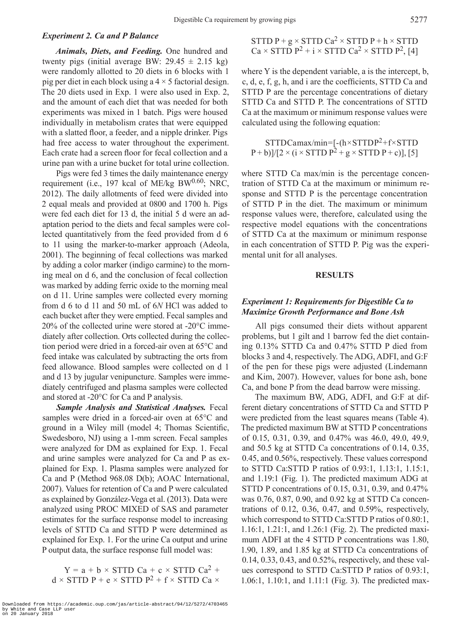#### *Experiment 2. Ca and P Balance*

*Animals, Diets, and Feeding.* One hundred and twenty pigs (initial average BW:  $29.45 \pm 2.15$  kg) were randomly allotted to 20 diets in 6 blocks with 1 pig per diet in each block using a  $4 \times 5$  factorial design. The 20 diets used in Exp. 1 were also used in Exp. 2, and the amount of each diet that was needed for both experiments was mixed in 1 batch. Pigs were housed individually in metabolism crates that were equipped with a slatted floor, a feeder, and a nipple drinker. Pigs had free access to water throughout the experiment. Each crate had a screen floor for fecal collection and a urine pan with a urine bucket for total urine collection.

Pigs were fed 3 times the daily maintenance energy requirement (i.e., 197 kcal of ME/kg BW $^{0.60}$ ; NRC, 2012). The daily allotments of feed were divided into 2 equal meals and provided at 0800 and 1700 h. Pigs were fed each diet for 13 d, the initial 5 d were an adaptation period to the diets and fecal samples were collected quantitatively from the feed provided from d 6 to 11 using the marker-to-marker approach (Adeola, 2001). The beginning of fecal collections was marked by adding a color marker (indigo carmine) to the morning meal on d 6, and the conclusion of fecal collection was marked by adding ferric oxide to the morning meal on d 11. Urine samples were collected every morning from d 6 to d 11 and 50 mL of 6*N* HCl was added to each bucket after they were emptied. Fecal samples and 20% of the collected urine were stored at -20°C immediately after collection. Orts collected during the collection period were dried in a forced-air oven at 65°C and feed intake was calculated by subtracting the orts from feed allowance. Blood samples were collected on d 1 and d 13 by jugular venipuncture. Samples were immediately centrifuged and plasma samples were collected and stored at -20°C for Ca and P analysis.

*Sample Analysis and Statistical Analyses.* Fecal samples were dried in a forced-air oven at 65°C and ground in a Wiley mill (model 4; Thomas Scientific, Swedesboro, NJ) using a 1-mm screen. Fecal samples were analyzed for DM as explained for Exp. 1. Fecal and urine samples were analyzed for Ca and P as explained for Exp. 1. Plasma samples were analyzed for Ca and P (Method 968.08 D(b); AOAC International, 2007). Values for retention of Ca and P were calculated as explained by González-Vega et al. (2013). Data were analyzed using PROC MIXED of SAS and parameter estimates for the surface response model to increasing levels of STTD Ca and STTD P were determined as explained for Exp. 1. For the urine Ca output and urine P output data, the surface response full model was:

 $Y = a + b \times STTD$  Ca + c  $\times STTD$  Ca<sup>2</sup> +  $d \times$  STTD P + e  $\times$  STTD P<sup>2</sup> + f  $\times$  STTD Ca  $\times$ 

STTD  $P + g \times$  STTD Ca<sup>2</sup>  $\times$  STTD  $P + h \times$  STTD  $Ca \times STTD$   $P^2 + i \times STTD$   $Ca^2 \times STTD$   $P^2$ , [4]

where Y is the dependent variable, a is the intercept, b, c, d, e, f, g, h, and i are the coefficients, STTD Ca and STTD P are the percentage concentrations of dietary STTD Ca and STTD P. The concentrations of STTD Ca at the maximum or minimum response values were calculated using the following equation:

$$
\text{STTDCamax/min} = [-(\text{h} \times \text{STTDP}^2 + \text{f} \times \text{STTD}^2 + \text{g} \times \text{STTDP}^2 + \text{g} \times \text{STTDP} + c)], [5]
$$

where STTD Ca max/min is the percentage concentration of STTD Ca at the maximum or minimum response and STTD P is the percentage concentration of STTD P in the diet. The maximum or minimum response values were, therefore, calculated using the respective model equations with the concentrations of STTD Ca at the maximum or minimum response in each concentration of STTD P. Pig was the experimental unit for all analyses.

### **RESULTS**

## *Experiment 1: Requirements for Digestible Ca to Maximize Growth Performance and Bone Ash*

All pigs consumed their diets without apparent problems, but 1 gilt and 1 barrow fed the diet containing 0.13% STTD Ca and 0.47% STTD P died from blocks 3 and 4, respectively. The ADG, ADFI, and G:F of the pen for these pigs were adjusted (Lindemann and Kim, 2007). However, values for bone ash, bone Ca, and bone P from the dead barrow were missing.

The maximum BW, ADG, ADFI, and G:F at different dietary concentrations of STTD Ca and STTD P were predicted from the least squares means (Table 4). The predicted maximum BW at STTD P concentrations of 0.15, 0.31, 0.39, and 0.47% was 46.0, 49.0, 49.9, and 50.5 kg at STTD Ca concentrations of 0.14, 0.35, 0.45, and 0.56%, respectively. These values correspond to STTD Ca:STTD P ratios of 0.93:1, 1.13:1, 1.15:1, and 1.19:1 (Fig. 1). The predicted maximum ADG at STTD P concentrations of 0.15, 0.31, 0.39, and 0.47% was 0.76, 0.87, 0.90, and 0.92 kg at STTD Ca concentrations of 0.12, 0.36, 0.47, and 0.59%, respectively, which correspond to STTD Ca:STTD P ratios of 0.80:1, 1.16:1, 1.21:1, and 1.26:1 (Fig. 2). The predicted maximum ADFI at the 4 STTD P concentrations was 1.80, 1.90, 1.89, and 1.85 kg at STTD Ca concentrations of 0.14, 0.33, 0.43, and 0.52%, respectively, and these values correspond to STTD Ca:STTD P ratios of 0.93:1, 1.06:1, 1.10:1, and 1.11:1 (Fig. 3). The predicted max-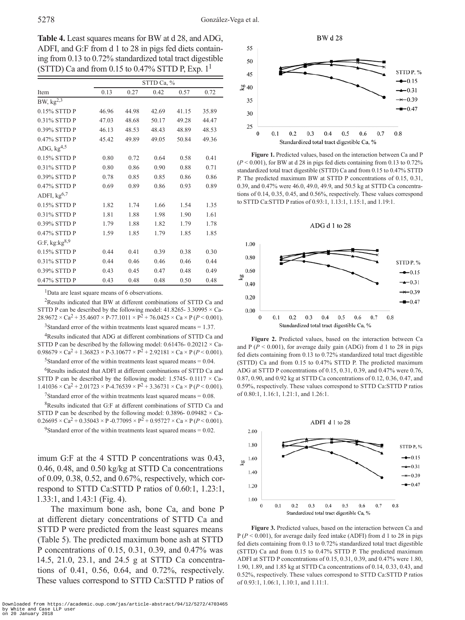**Table 4.** Least squares means for BW at d 28, and ADG, ADFI, and G:F from d 1 to 28 in pigs fed diets containing from 0.13 to 0.72% standardized total tract digestible (STTD) Ca and from 0.15 to 0.47% STTD P, Exp.  $1<sup>1</sup>$ 

|                  | STTD Ca, % |       |       |       |       |  |  |  |
|------------------|------------|-------|-------|-------|-------|--|--|--|
| Item             | 0.13       | 0.27  | 0.42  | 0.57  | 0.72  |  |  |  |
| BW, $kg2,3$      |            |       |       |       |       |  |  |  |
| 0.15% STTD P     | 46.96      | 44.98 | 42.69 | 41.15 | 35.89 |  |  |  |
| 0.31% STTD P     | 47.03      | 48.68 | 50.17 | 49.28 | 44.47 |  |  |  |
| 0.39% STTD P     | 46.13      | 48.53 | 48.43 | 48.89 | 48.53 |  |  |  |
| 0.47% STTD P     | 45.42      | 49.89 | 49.05 | 50.84 | 49.36 |  |  |  |
| ADG, $kg4,5$     |            |       |       |       |       |  |  |  |
| 0.15% STTD P     | 0.80       | 0.72  | 0.64  | 0.58  | 0.41  |  |  |  |
| 0.31% STTD P     | 0.80       | 0.86  | 0.90  | 0.88  | 0.71  |  |  |  |
| 0.39% STTD P     | 0.78       | 0.85  | 0.85  | 0.86  | 0.86  |  |  |  |
| 0.47% STTD P     | 0.69       | 0.89  | 0.86  | 0.93  | 0.89  |  |  |  |
| ADFI, $kg6,7$    |            |       |       |       |       |  |  |  |
| 0.15% STTD P     | 1.82       | 1.74  | 1.66  | 1.54  | 1.35  |  |  |  |
| 0.31% STTD P     | 1.81       | 1.88  | 1.98  | 1.90  | 1.61  |  |  |  |
| 0.39% STTD P     | 1.79       | 1.88  | 1.82  | 1.79  | 1.78  |  |  |  |
| 0.47% STTD P     | 1.59       | 1.85  | 1.79  | 1.85  | 1.85  |  |  |  |
| G:F, kg:kg $8,9$ |            |       |       |       |       |  |  |  |
| $0.15\%$ STTD P  | 0.44       | 0.41  | 0.39  | 0.38  | 0.30  |  |  |  |
| 0.31% STTD P     | 0.44       | 0.46  | 0.46  | 0.46  | 0.44  |  |  |  |
| 0.39% STTD P     | 0.43       | 0.45  | 0.47  | 0.48  | 0.49  |  |  |  |
| 0.47% STTD P     | 0.43       | 0.48  | 0.48  | 0.50  | 0.48  |  |  |  |

1Data are least square means of 6 observations.

2Results indicated that BW at different combinations of STTD Ca and STTD P can be described by the following model:  $41.8265 - 3.30995 \times Ca$  $28.9672 \times Ca^2 + 35.4607 \times P - 77.1011 \times P^2 + 76.0425 \times Ca \times P (P < 0.001).$ 

<sup>3</sup>Standard error of the within treatments least squared means  $= 1.37$ .

4Results indicated that ADG at different combinations of STTD Ca and STTD P can be described by the following model:  $0.61476 - 0.20212 \times Ca$  $0.98679 \times Ca^2 + 1.36823 \times P - 3.10677 \times P^2 + 2.92181 \times Ca \times P (P \le 0.001).$ 

<sup>5</sup>Standard error of the within treatments least squared means =  $0.04$ .

6Results indicated that ADFI at different combinations of STTD Ca and STTD P can be described by the following model:  $1.5745 - 0.1117 \times Ca$  $1.41036 \times Ca^2 + 2.01723 \times P - 4.76539 \times P^2 + 3.36731 \times Ca \times P (P < 0.001).$ 

<sup>7</sup>Standard error of the within treatments least squared means =  $0.08$ .

8Results indicated that G:F at different combinations of STTD Ca and STTD P can be described by the following model: 0.3896- 0.09482  $\times$  Ca- $0.26695 \times Ca^2 + 0.35043 \times P - 0.77095 \times P^2 + 0.95727 \times Ca \times P (P \le 0.001)$ .

<sup>9</sup>Standard error of the within treatments least squared means  $= 0.02$ .

imum G:F at the 4 STTD P concentrations was 0.43, 0.46, 0.48, and 0.50 kg/kg at STTD Ca concentrations of 0.09, 0.38, 0.52, and 0.67%, respectively, which correspond to STTD Ca:STTD P ratios of 0.60:1, 1.23:1, 1.33:1, and 1.43:1 (Fig. 4).

The maximum bone ash, bone Ca, and bone P at different dietary concentrations of STTD Ca and STTD P were predicted from the least squares means (Table 5). The predicted maximum bone ash at STTD P concentrations of 0.15, 0.31, 0.39, and 0.47% was 14.5, 21.0, 23.1, and 24.5 g at STTD Ca concentrations of 0.41, 0.56, 0.64, and 0.72%, respectively. These values correspond to STTD Ca:STTD P ratios of



**Figure 1.** Predicted values, based on the interaction between Ca and P  $(P < 0.001)$ , for BW at d 28 in pigs fed diets containing from 0.13 to 0.72% standardized total tract digestible (STTD) Ca and from 0.15 to 0.47% STTD P. The predicted maximum BW at STTD P concentrations of 0.15, 0.31, 0.39, and 0.47% were 46.0, 49.0, 49.9, and 50.5 kg at STTD Ca concentrations of 0.14, 0.35, 0.45, and 0.56%, respectively. These values correspond to STTD Ca:STTD P ratios of 0.93:1, 1.13:1, 1.15:1, and 1.19:1.



**Figure 2.** Predicted values, based on the interaction between Ca and  $P (P < 0.001)$ , for average daily gain (ADG) from d 1 to 28 in pigs fed diets containing from 0.13 to 0.72% standardized total tract digestible (STTD) Ca and from 0.15 to 0.47% STTD P. The predicted maximum ADG at STTD P concentrations of 0.15, 0.31, 0.39, and 0.47% were 0.76, 0.87, 0.90, and 0.92 kg at STTD Ca concentrations of 0.12, 0.36, 0.47, and 0.59%, respectively. These values correspond to STTD Ca:STTD P ratios of 0.80:1, 1.16:1, 1.21:1, and 1.26:1.



**Figure 3.** Predicted values, based on the interaction between Ca and  $P (P < 0.001)$ , for average daily feed intake (ADFI) from d 1 to 28 in pigs fed diets containing from 0.13 to 0.72% standardized total tract digestible (STTD) Ca and from 0.15 to 0.47% STTD P. The predicted maximum ADFI at STTD P concentrations of 0.15, 0.31, 0.39, and 0.47% were 1.80, 1.90, 1.89, and 1.85 kg at STTD Ca concentrations of 0.14, 0.33, 0.43, and 0.52%, respectively. These values correspond to STTD Ca:STTD P ratios of 0.93:1, 1.06:1, 1.10:1, and 1.11:1.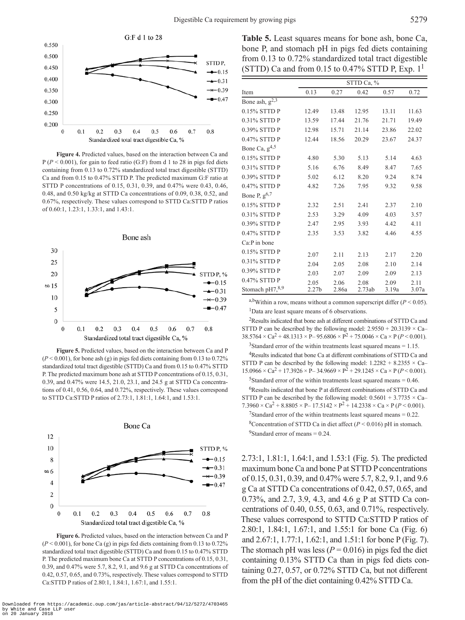

**Figure 4.** Predicted values, based on the interaction between Ca and P ( $P < 0.001$ ), for gain to feed ratio (G:F) from d 1 to 28 in pigs fed diets containing from 0.13 to 0.72% standardized total tract digestible (STTD) Ca and from 0.15 to 0.47% STTD P. The predicted maximum G:F ratio at STTD P concentrations of 0.15, 0.31, 0.39, and 0.47% were 0.43, 0.46, 0.48, and 0.50 kg/kg at STTD Ca concentrations of 0.09, 0.38, 0.52, and 0.67%, respectively. These values correspond to STTD Ca:STTD P ratios of 0.60:1, 1.23:1, 1.33:1, and 1.43:1.



**Figure 5.** Predicted values, based on the interaction between Ca and P  $(P < 0.001)$ , for bone ash (g) in pigs fed diets containing from 0.13 to 0.72% standardized total tract digestible (STTD) Ca and from 0.15 to 0.47% STTD P. The predicted maximum bone ash at STTD P concentrations of 0.15, 0.31, 0.39, and 0.47% were 14.5, 21.0, 23.1, and 24.5 g at STTD Ca concentrations of 0.41, 0.56, 0.64, and 0.72%, respectively. These values correspond to STTD Ca:STTD P ratios of 2.73:1, 1.81:1, 1.64:1, and 1.53:1.



**Figure 6.** Predicted values, based on the interaction between Ca and P  $(P < 0.001)$ , for bone Ca (g) in pigs fed diets containing from 0.13 to 0.72% standardized total tract digestible (STTD) Ca and from 0.15 to 0.47% STTD P. The predicted maximum bone Ca at STTD P concentrations of 0.15, 0.31, 0.39, and 0.47% were 5.7, 8.2, 9.1, and 9.6 g at STTD Ca concentrations of 0.42, 0.57, 0.65, and 0.73%, respectively. These values correspond to STTD Ca:STTD P ratios of 2.80:1, 1.84:1, 1.67:1, and 1.55:1.

|                     |                   | STTD Ca, % |        |       |       |  |  |  |  |  |
|---------------------|-------------------|------------|--------|-------|-------|--|--|--|--|--|
| Item                | 0.13              | 0.27       | 0.42   | 0.57  | 0.72  |  |  |  |  |  |
| Bone ash, $g^{2,3}$ |                   |            |        |       |       |  |  |  |  |  |
| 0.15% STTD P        | 12.49             | 13.48      | 12.95  | 13.11 | 11.63 |  |  |  |  |  |
| 0.31% STTD P        | 13.59             | 17.44      | 21.76  | 21.71 | 19.49 |  |  |  |  |  |
| 0.39% STTD P        | 12.98             | 15.71      | 21.14  | 23.86 | 22.02 |  |  |  |  |  |
| 0.47% STTD P        | 12.44             | 18.56      | 20.29  | 23.67 | 24.37 |  |  |  |  |  |
| Bone Ca, $g^{4,5}$  |                   |            |        |       |       |  |  |  |  |  |
| 0.15% STTD P        | 4.80              | 5.30       | 5.13   | 5.14  | 4.63  |  |  |  |  |  |
| 0.31% STTD P        | 5.16              | 6.76       | 8.49   | 8.47  | 7.65  |  |  |  |  |  |
| 0.39% STTD P        | 5.02              | 6.12       | 8.20   | 9.24  | 8.74  |  |  |  |  |  |
| 0.47% STTD P        | 4.82              | 7.26       | 7.95   | 9.32  | 9.58  |  |  |  |  |  |
| Bone P, $g^{6,7}$   |                   |            |        |       |       |  |  |  |  |  |
| 0.15% STTD P        | 2.32              | 2.51       | 2.41   | 2.37  | 2.10  |  |  |  |  |  |
| 0.31% STTD P        | 2.53              | 3.29       | 4.09   | 4.03  | 3.57  |  |  |  |  |  |
| 0.39% STTD P        | 2.47              | 2.95       | 3.93   | 4.42  | 4.11  |  |  |  |  |  |
| 0.47% STTD P        | 2.35              | 3.53       | 3.82   | 4.46  | 4.55  |  |  |  |  |  |
| Ca:P in bone        |                   |            |        |       |       |  |  |  |  |  |
| 0.15% STTD P        | 2.07              | 2.11       | 2.13   | 2.17  | 2.20  |  |  |  |  |  |
| 0.31% STTD P        | 2.04              | 2.05       | 2.08   | 2.10  | 2.14  |  |  |  |  |  |
| 0.39% STTD P        | 2.03              | 2.07       | 2.09   | 2.09  | 2.13  |  |  |  |  |  |
| 0.47% STTD P        | 2.05              | 2.06       | 2.08   | 2.09  | 2.11  |  |  |  |  |  |
| Stomach pH7, 8,9    | 2.27 <sub>b</sub> | 2.86a      | 2.73ab | 3.19a | 3.07a |  |  |  |  |  |

a,bWithin a row, means without a common superscript differ  $(P < 0.05)$ . <sup>1</sup>Data are least square means of 6 observations.

2Results indicated that bone ash at different combinations of STTD Ca and STTD P can be described by the following model:  $2.9550 + 20.3139 \times Ca$  $38.5764 \times Ca^2 + 48.1313 \times P - 95.6806 \times P^2 + 75.0046 \times Ca \times P (P < 0.001)$ .

<sup>3</sup>Standard error of the within treatments least squared means =  $1.15$ .

4Results indicated that bone Ca at different combinations of STTD Ca and STTD P can be described by the following model:  $1.2282 + 8.2355 \times Ca$  $15.0966 \times Ca^2 + 17.3926 \times P - 34.9669 \times P^2 + 29.1245 \times Ca \times P (P \le 0.001).$ <sup>5</sup>Standard error of the within treatments least squared means =  $0.46$ .

6Results indicated that bone P at different combinations of STTD Ca and STTD P can be described by the following model:  $0.5601 + 3.7735 \times Ca 7.3960 \times Ca^2 + 8.8805 \times P - 17.5142 \times P^2 + 14.2338 \times Ca \times P (P < 0.001).$ 

<sup>7</sup>Standard error of the within treatments least squared means =  $0.22$ . <sup>8</sup>Concentration of STTD Ca in diet affect  $(P < 0.016)$  pH in stomach. <sup>9</sup>Standard error of means  $= 0.24$ .

2.73:1, 1.81:1, 1.64:1, and 1.53:1 (Fig. 5). The predicted maximum bone Ca and bone P at STTD P concentrations of 0.15, 0.31, 0.39, and 0.47% were 5.7, 8.2, 9.1, and 9.6 g Ca at STTD Ca concentrations of 0.42, 0.57, 0.65, and 0.73%, and 2.7, 3.9, 4.3, and 4.6 g P at STTD Ca concentrations of  $0.40, 0.55, 0.63$ , and  $0.71\%$ , respectively. These values correspond to STTD Ca:STTD P ratios of 2.80:1, 1.84:1, 1.67:1, and 1.55:1 for bone Ca (Fig. 6) and 2.67:1, 1.77:1, 1.62:1, and 1.51:1 for bone P (Fig. 7). The stomach pH was less ( $P = 0.016$ ) in pigs fed the diet containing 0.13% STTD Ca than in pigs fed diets containing 0.27, 0.57, or 0.72% STTD Ca, but not different from the pH of the diet containing 0.42% STTD Ca.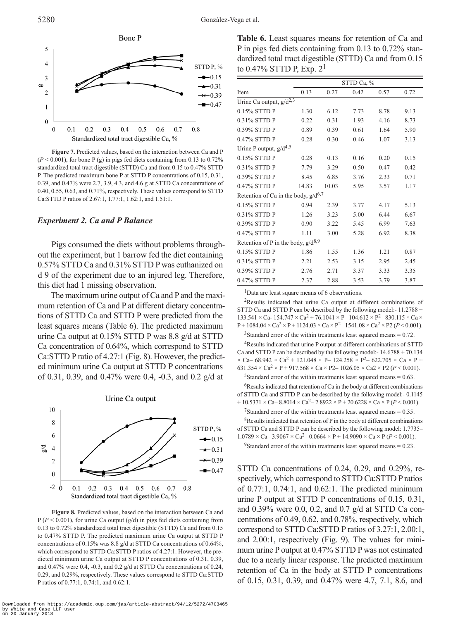

**Figure 7.** Predicted values, based on the interaction between Ca and P  $(P < 0.001)$ , for bone P (g) in pigs fed diets containing from 0.13 to 0.72% standardized total tract digestible (STTD) Ca and from 0.15 to 0.47% STTD P. The predicted maximum bone P at STTD P concentrations of 0.15, 0.31, 0.39, and 0.47% were 2.7, 3.9, 4.3, and 4.6 g at STTD Ca concentrations of 0.40, 0.55, 0.63, and 0.71%, respectively. These values correspond to STTD Ca:STTD P ratios of 2.67:1, 1.77:1, 1.62:1, and 1.51:1.

### *Experiment 2. Ca and P Balance*

Pigs consumed the diets without problems throughout the experiment, but 1 barrow fed the diet containing 0.57% STTD Ca and 0.31% STTD P was euthanized on d 9 of the experiment due to an injured leg. Therefore, this diet had 1 missing observation.

The maximum urine output of Ca and P and the maximum retention of Ca and P at different dietary concentrations of STTD Ca and STTD P were predicted from the least squares means (Table 6). The predicted maximum urine Ca output at 0.15% STTD P was 8.8 g/d at STTD Ca concentration of 0.64%, which correspond to STTD Ca:STTD P ratio of 4.27:1 (Fig. 8). However, the predicted minimum urine Ca output at STTD P concentrations of 0.31, 0.39, and 0.47% were 0.4, -0.3, and 0.2 g/d at



**Figure 8.** Predicted values, based on the interaction between Ca and P (*P* < 0.001), for urine Ca output (g/d) in pigs fed diets containing from 0.13 to 0.72% standardized total tract digestible (STTD) Ca and from 0.15 to 0.47% STTD P. The predicted maximum urine Ca output at STTD P concentrations of 0.15% was 8.8 g/d at STTD Ca concentrations of 0.64%, which correspond to STTD Ca:STTD P ratios of 4.27:1. However, the predicted minimum urine Ca output at STTD P concentrations of 0.31, 0.39, and 0.47% were 0.4, -0.3, and 0.2 g/d at STTD Ca concentrations of 0.24, 0.29, and 0.29%, respectively. These values correspond to STTD Ca:STTD P ratios of 0.77:1, 0.74:1, and 0.62:1.

Table 6. Least squares means for retention of Ca and P in pigs fed diets containing from 0.13 to 0.72% standardized total tract digestible (STTD) Ca and from 0.15 to 0.47% STTD P, Exp.  $2<sup>1</sup>$ 

|                                          | STTD Ca, % |       |      |      |      |  |  |  |
|------------------------------------------|------------|-------|------|------|------|--|--|--|
| Item                                     | 0.13       | 0.27  | 0.42 | 0.57 | 0.72 |  |  |  |
| Urine Ca output, $g/d^{2,3}$             |            |       |      |      |      |  |  |  |
| 0.15% STTD P                             | 1.30       | 6.12  | 7.73 | 8.78 | 9.13 |  |  |  |
| 0.31% STTD P                             | 0.22       | 0.31  | 1.93 | 4.16 | 8.73 |  |  |  |
| 0.39% STTD P                             | 0.89       | 0.39  | 0.61 | 1.64 | 5.90 |  |  |  |
| 0.47% STTD P                             | 0.28       | 0.30  | 0.46 | 1.07 | 3.13 |  |  |  |
| Urine P output, $g/d^{4,5}$              |            |       |      |      |      |  |  |  |
| 0.15% STTD P                             | 0.28       | 0.13  | 0.16 | 0.20 | 0.15 |  |  |  |
| 0.31% STTD P                             | 7.79       | 3.29  | 0.50 | 0.47 | 0.42 |  |  |  |
| 0.39% STTD P                             | 8.45       | 6.85  | 3.76 | 2.33 | 0.71 |  |  |  |
| 0.47% STTD P                             | 14.83      | 10.03 | 5.95 | 3.57 | 1.17 |  |  |  |
| Retention of Ca in the body, $g/d^{6,7}$ |            |       |      |      |      |  |  |  |
| 0.15% STTD P                             | 0.94       | 2.39  | 3.77 | 4.17 | 5.13 |  |  |  |
| 0.31% STTD P                             | 1.26       | 3.23  | 5.00 | 6.44 | 6.67 |  |  |  |
| 0.39% STTD P                             | 0.90       | 3.22  | 5.45 | 6.99 | 7.63 |  |  |  |
| 0.47% STTD P                             | 1.11       | 3.00  | 5.28 | 6.92 | 8.38 |  |  |  |
| Retention of P in the body, $g/d^{8,9}$  |            |       |      |      |      |  |  |  |
| $0.15\%$ STTD P                          | 1.86       | 1.55  | 1.36 | 1.21 | 0.87 |  |  |  |
| 0.31% STTD P                             | 2.21       | 2.53  | 3.15 | 2.95 | 2.45 |  |  |  |
| 0.39% STTD P                             | 2.76       | 2.71  | 3.37 | 3.33 | 3.35 |  |  |  |
| 0.47% STTD P                             | 2.37       | 2.88  | 3.53 | 3.79 | 3.87 |  |  |  |

<sup>1</sup>Data are least square means of 6 observations.

2Results indicated that urine Ca output at different combinations of STTD Ca and STTD P can be described by the following model:- 11.2788 + 133.541 × Ca- 154.747 × Ca<sup>2</sup> + 76.1041 × P– 104.612 × P<sup>2</sup>– 830.115 × Ca ×  $P + 1084.04 \times Ca^2 \times P + 1124.03 \times Ca \times P^2 - 1541.08 \times Ca^2 \times P2 (P \le 0.001).$ <sup>3</sup>Standard error of the within treatments least squared means =  $0.72$ . 4Results indicated that urine P output at different combinations of STTD Ca and STTD P can be described by the following model:- 14.6788 + 70.134  $\times$  Ca– 68.942  $\times$  Ca<sup>2</sup> + 121.048  $\times$  P– 124.258  $\times$  P<sup>2</sup>– 622.705  $\times$  Ca  $\times$  P +  $631.354 \times Ca^2 \times P + 917.568 \times Ca \times P2 - 1026.05 \times Ca2 \times P2 (P < 0.001)$ . <sup>5</sup>Standard error of the within treatments least squared means =  $0.63$ . 6Results indicated that retention of Ca in the body at different combinations of STTD Ca and STTD P can be described by the following model:- 0.1145  $+ 10.5371 \times Ca- 8.8014 \times Ca^2 - 2.8922 \times P + 20.6228 \times Ca \times P (P < 0.001)$ . <sup>7</sup>Standard error of the within treatments least squared means =  $0.35$ . 8Results indicated that retention of P in the body at different combinations of STTD Ca and STTD P can be described by the following model: 1.7735–  $1.0789 \times Ca-3.9067 \times Ca^2 - 0.0664 \times P + 14.9090 \times Ca \times P (P \le 0.001).$ <sup>9</sup>Standard error of the within treatments least squared means  $= 0.23$ .

STTD Ca concentrations of 0.24, 0.29, and 0.29%, respectively, which correspond to STTD Ca:STTD P ratios of 0.77:1, 0.74:1, and 0.62:1. The predicted minimum urine P output at STTD P concentrations of 0.15, 0.31, and 0.39% were 0.0, 0.2, and 0.7 g/d at STTD Ca concentrations of 0.49, 0.62, and 0.78%, respectively, which correspond to STTD Ca:STTD P ratios of 3.27:1, 2.00:1, and 2.00:1, respectively (Fig. 9). The values for minimum urine P output at 0.47% STTD P was not estimated due to a nearly linear response. The predicted maximum retention of Ca in the body at STTD P concentrations of 0.15, 0.31, 0.39, and 0.47% were 4.7, 7.1, 8.6, and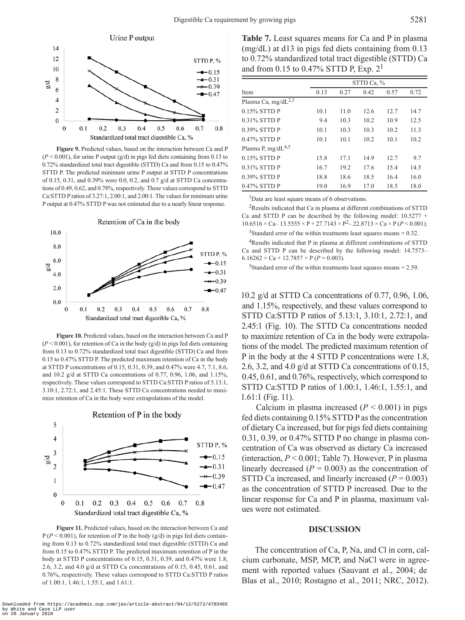

**Figure 9.** Predicted values, based on the interaction between Ca and P  $(P < 0.001)$ , for urine P output  $(g/d)$  in pigs fed diets containing from 0.13 to 0.72% standardized total tract digestible (STTD) Ca and from 0.15 to 0.47% STTD P. The predicted minimum urine P output at STTD P concentrations of 0.15, 0.31, and 0.39% were 0.0, 0.2, and 0.7 g/d at STTD Ca concentrations of 0.49, 0.62, and 0.78%, respectively. These values correspond to STTD Ca:STTD P ratios of 3.27:1, 2.00:1, and 2.00:1. The values for minimum urine P output at 0.47% STTD P was not estimated due to a nearly linear response.



**Figure 10.** Predicted values, based on the interaction between Ca and P  $(P < 0.001)$ , for retention of Ca in the body  $(g/d)$  in pigs fed diets containing from 0.13 to 0.72% standardized total tract digestible (STTD) Ca and from 0.15 to 0.47% STTD P. The predicted maximum retention of Ca in the body at STTD P concentrations of 0.15, 0.31, 0.39, and 0.47% were 4.7, 7.1, 8.6, and 10.2 g/d at STTD Ca concentrations of 0.77, 0.96, 1.06, and 1.15%, respectively. These values correspond to STTD Ca:STTD P ratios of 5.13:1, 3.10:1, 2.72:1, and 2.45:1. These STTD Ca concentrations needed to maximize retention of Ca in the body were extrapolations of the model.



**Figure 11.** Predicted values, based on the interaction between Ca and  $P (P < 0.001)$ , for retention of P in the body (g/d) in pigs fed diets containing from 0.13 to 0.72% standardized total tract digestible (STTD) Ca and from 0.15 to 0.47% STTD P. The predicted maximum retention of P in the body at STTD P concentrations of 0.15, 0.31, 0.39, and 0.47% were 1.8, 2.6, 3.2, and 4.0 g/d at STTD Ca concentrations of 0.15, 0.45, 0.61, and 0.76%, respectively. These values correspond to STTD Ca:STTD P ratios of 1.00:1, 1.46:1, 1.55:1, and 1.61:1.

**Table 7.** Least squares means for Ca and P in plasma (mg/dL) at d13 in pigs fed diets containing from 0.13 to 0.72% standardized total tract digestible (STTD) Ca and from 0.15 to 0.47% STTD P, Exp.  $2<sup>1</sup>$ 

|                                 | STTD Ca, % |      |      |      |      |  |  |  |  |
|---------------------------------|------------|------|------|------|------|--|--|--|--|
| Item                            | 0.13       | 0.27 | 0.42 | 0.57 | 0.72 |  |  |  |  |
| Plasma Ca, mg/dL <sup>2,3</sup> |            |      |      |      |      |  |  |  |  |
| $0.15\%$ STTD P                 | 10.1       | 11.0 | 12.6 | 12.7 | 14.7 |  |  |  |  |
| $0.31\%$ STTD P                 | 9.4        | 10.3 | 10.2 | 10.9 | 12.5 |  |  |  |  |
| 0.39% STTD P                    | 10.1       | 10.3 | 10.3 | 10.2 | 11.3 |  |  |  |  |
| 0.47% STTD P                    | 10.1       | 10.1 | 10.2 | 10.1 | 10.2 |  |  |  |  |
| Plasma P, mg/d $L^{4,5}$        |            |      |      |      |      |  |  |  |  |
| $0.15\%$ STTD P                 | 15.8       | 17.1 | 14.9 | 12.7 | 9.7  |  |  |  |  |
| $0.31\%$ STTD P                 | 16.7       | 19.2 | 17.6 | 15.4 | 14.5 |  |  |  |  |
| 0.39% STTD P                    | 18.8       | 18.6 | 18.5 | 16.4 | 16.0 |  |  |  |  |
| 0.47% STTD P                    | 19.0       | 16.9 | 17.0 | 18.5 | 18.0 |  |  |  |  |

<sup>1</sup>Data are least square means of 6 observations.

2Results indicated that Ca in plasma at different combinations of STTD Ca and STTD P can be described by the following model:  $10.5277 +$  $10.6516 \times Ca - 13.5555 \times P + 27.7143 \times P^2 - 22.8713 \times Ca \times P (P < 0.001).$ 

 $3$ Standard error of the within treatments least squares means = 0.32.

4Results indicated that P in plasma at different combinations of STTD Ca and STTD P can be described by the following model: 14.7573–  $6.16262 \times Ca + 12.7857 \times P (P = 0.003).$ 

<sup>5</sup>Standard error of the within treatments least squares means  $= 2.59$ .

10.2 g/d at STTD Ca concentrations of 0.77, 0.96, 1.06, and 1.15%, respectively, and these values correspond to STTD Ca:STTD P ratios of 5.13:1, 3.10:1, 2.72:1, and 2.45:1 (Fig. 10). The STTD Ca concentrations needed to maximize retention of Ca in the body were extrapolations of the model. The predicted maximum retention of P in the body at the 4 STTD P concentrations were 1.8, 2.6, 3.2, and 4.0 g/d at STTD Ca concentrations of 0.15, 0.45, 0.61, and 0.76%, respectively, which correspond to STTD Ca:STTD P ratios of 1.00:1, 1.46:1, 1.55:1, and 1.61:1 (Fig. 11).

Calcium in plasma increased  $(P < 0.001)$  in pigs fed diets containing 0.15% STTD P as the concentration of dietary Ca increased, but for pigs fed diets containing 0.31, 0.39, or 0.47% STTD P no change in plasma concentration of Ca was observed as dietary Ca increased (interaction,  $P < 0.001$ ; Table 7). However, P in plasma linearly decreased  $(P = 0.003)$  as the concentration of STTD Ca increased, and linearly increased  $(P = 0.003)$ as the concentration of STTD P increased. Due to the linear response for Ca and P in plasma, maximum values were not estimated.

#### **DISCUSSION**

The concentration of Ca, P, Na, and Cl in corn, calcium carbonate, MSP, MCP, and NaCl were in agreement with reported values (Sauvant et al., 2004; de Blas et al., 2010; Rostagno et al., 2011; NRC, 2012).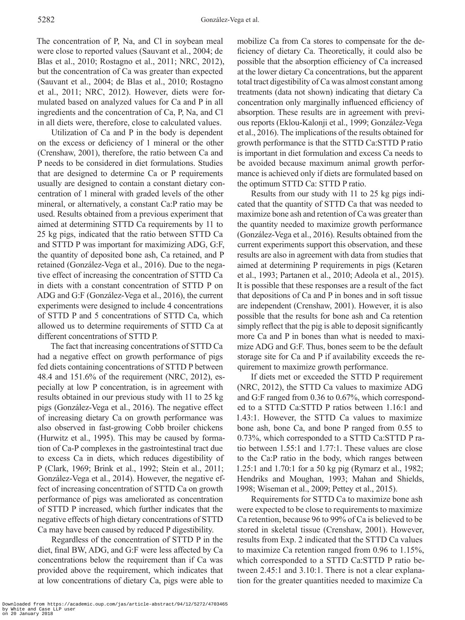The concentration of P, Na, and Cl in soybean meal were close to reported values (Sauvant et al., 2004; de Blas et al., 2010; Rostagno et al., 2011; NRC, 2012), but the concentration of Ca was greater than expected (Sauvant et al., 2004; de Blas et al., 2010; Rostagno et al., 2011; NRC, 2012). However, diets were formulated based on analyzed values for Ca and P in all ingredients and the concentration of Ca, P, Na, and Cl in all diets were, therefore, close to calculated values.

Utilization of Ca and P in the body is dependent on the excess or deficiency of 1 mineral or the other (Crenshaw, 2001), therefore, the ratio between Ca and P needs to be considered in diet formulations. Studies that are designed to determine Ca or P requirements usually are designed to contain a constant dietary concentration of 1 mineral with graded levels of the other mineral, or alternatively, a constant Ca:P ratio may be used. Results obtained from a previous experiment that aimed at determining STTD Ca requirements by 11 to 25 kg pigs, indicated that the ratio between STTD Ca and STTD P was important for maximizing ADG, G:F, the quantity of deposited bone ash, Ca retained, and P retained (González-Vega et al., 2016). Due to the negative effect of increasing the concentration of STTD Ca in diets with a constant concentration of STTD P on ADG and G:F (González-Vega et al., 2016), the current experiments were designed to include 4 concentrations of STTD P and 5 concentrations of STTD Ca, which allowed us to determine requirements of STTD Ca at different concentrations of STTD P.

The fact that increasing concentrations of STTD Ca had a negative effect on growth performance of pigs fed diets containing concentrations of STTD P between 48.4 and 151.6% of the requirement (NRC, 2012), especially at low P concentration, is in agreement with results obtained in our previous study with 11 to 25 kg pigs (González-Vega et al., 2016). The negative effect of increasing dietary Ca on growth performance was also observed in fast-growing Cobb broiler chickens (Hurwitz et al., 1995). This may be caused by formation of Ca-P complexes in the gastrointestinal tract due to excess Ca in diets, which reduces digestibility of P (Clark, 1969; Brink et al., 1992; Stein et al., 2011; González-Vega et al., 2014). However, the negative effect of increasing concentration of STTD Ca on growth performance of pigs was ameliorated as concentration of STTD P increased, which further indicates that the negative effects of high dietary concentrations of STTD Ca may have been caused by reduced P digestibility.

Regardless of the concentration of STTD P in the diet, final BW, ADG, and G:F were less affected by Ca concentrations below the requirement than if Ca was provided above the requirement, which indicates that at low concentrations of dietary Ca, pigs were able to mobilize Ca from Ca stores to compensate for the deficiency of dietary Ca. Theoretically, it could also be possible that the absorption efficiency of Ca increased at the lower dietary Ca concentrations, but the apparent total tract digestibility of Ca was almost constant among treatments (data not shown) indicating that dietary Ca concentration only marginally influenced efficiency of absorption. These results are in agreement with previous reports (Eklou-Kalonji et al., 1999; González-Vega et al., 2016). The implications of the results obtained for growth performance is that the STTD Ca:STTD P ratio is important in diet formulation and excess Ca needs to be avoided because maximum animal growth performance is achieved only if diets are formulated based on the optimum STTD Ca: STTD P ratio.

Results from our study with 11 to 25 kg pigs indicated that the quantity of STTD Ca that was needed to maximize bone ash and retention of Ca was greater than the quantity needed to maximize growth performance (González-Vega et al., 2016). Results obtained from the current experiments support this observation, and these results are also in agreement with data from studies that aimed at determining P requirements in pigs (Ketaren et al., 1993; Partanen et al., 2010; Adeola et al., 2015). It is possible that these responses are a result of the fact that depositions of Ca and P in bones and in soft tissue are independent (Crenshaw, 2001). However, it is also possible that the results for bone ash and Ca retention simply reflect that the pig is able to deposit significantly more Ca and P in bones than what is needed to maximize ADG and G:F. Thus, bones seem to be the default storage site for Ca and P if availability exceeds the requirement to maximize growth performance.

If diets met or exceeded the STTD P requirement (NRC, 2012), the STTD Ca values to maximize ADG and G:F ranged from 0.36 to 0.67%, which corresponded to a STTD Ca:STTD P ratios between 1.16:1 and 1.43:1. However, the STTD Ca values to maximize bone ash, bone Ca, and bone P ranged from 0.55 to 0.73%, which corresponded to a STTD Ca:STTD P ratio between 1.55:1 and 1.77:1. These values are close to the Ca:P ratio in the body, which ranges between 1.25:1 and 1.70:1 for a 50 kg pig (Rymarz et al., 1982; Hendriks and Moughan, 1993; Mahan and Shields, 1998; Wiseman et al., 2009; Pettey et al., 2015).

Requirements for STTD Ca to maximize bone ash were expected to be close to requirements to maximize Ca retention, because 96 to 99% of Ca is believed to be stored in skeletal tissue (Crenshaw, 2001). However, results from Exp. 2 indicated that the STTD Ca values to maximize Ca retention ranged from 0.96 to 1.15%, which corresponded to a STTD Ca:STTD P ratio between 2.45:1 and 3.10:1. There is not a clear explanation for the greater quantities needed to maximize Ca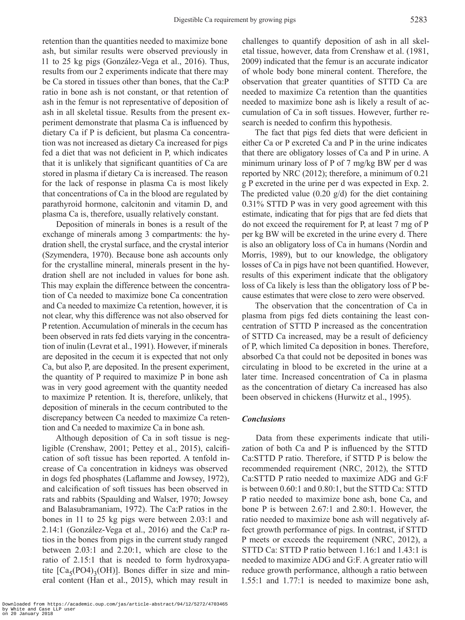retention than the quantities needed to maximize bone ash, but similar results were observed previously in 11 to 25 kg pigs (González-Vega et al., 2016). Thus, results from our 2 experiments indicate that there may be Ca stored in tissues other than bones, that the Ca:P ratio in bone ash is not constant, or that retention of ash in the femur is not representative of deposition of ash in all skeletal tissue. Results from the present experiment demonstrate that plasma Ca is influenced by dietary Ca if P is deficient, but plasma Ca concentration was not increased as dietary Ca increased for pigs fed a diet that was not deficient in P, which indicates that it is unlikely that significant quantities of Ca are stored in plasma if dietary Ca is increased. The reason for the lack of response in plasma Ca is most likely that concentrations of Ca in the blood are regulated by parathyroid hormone, calcitonin and vitamin D, and plasma Ca is, therefore, usually relatively constant.

Deposition of minerals in bones is a result of the exchange of minerals among 3 compartments: the hydration shell, the crystal surface, and the crystal interior (Szymendera, 1970). Because bone ash accounts only for the crystalline mineral, minerals present in the hydration shell are not included in values for bone ash. This may explain the difference between the concentration of Ca needed to maximize bone Ca concentration and Ca needed to maximize Ca retention, however, it is not clear, why this difference was not also observed for P retention. Accumulation of minerals in the cecum has been observed in rats fed diets varying in the concentration of inulin (Levrat et al., 1991). However, if minerals are deposited in the cecum it is expected that not only Ca, but also P, are deposited. In the present experiment, the quantity of P required to maximize P in bone ash was in very good agreement with the quantity needed to maximize P retention. It is, therefore, unlikely, that deposition of minerals in the cecum contributed to the discrepancy between Ca needed to maximize Ca retention and Ca needed to maximize Ca in bone ash.

Although deposition of Ca in soft tissue is negligible (Crenshaw, 2001; Pettey et al., 2015), calcification of soft tissue has been reported. A tenfold increase of Ca concentration in kidneys was observed in dogs fed phosphates (Laflamme and Jowsey, 1972), and calcification of soft tissues has been observed in rats and rabbits (Spaulding and Walser, 1970; Jowsey and Balasubramaniam, 1972). The Ca:P ratios in the bones in 11 to 25 kg pigs were between 2.03:1 and 2.14:1 (González-Vega et al., 2016) and the Ca:P ratios in the bones from pigs in the current study ranged between 2.03:1 and 2.20:1, which are close to the ratio of 2.15:1 that is needed to form hydroxyapatite  $[Ca_5(PO4)_3(OH)]$ . Bones differ in size and mineral content (Han et al., 2015), which may result in

challenges to quantify deposition of ash in all skeletal tissue, however, data from Crenshaw et al. (1981, 2009) indicated that the femur is an accurate indicator of whole body bone mineral content. Therefore, the observation that greater quantities of STTD Ca are needed to maximize Ca retention than the quantities needed to maximize bone ash is likely a result of accumulation of Ca in soft tissues. However, further research is needed to confirm this hypothesis.

The fact that pigs fed diets that were deficient in either Ca or P excreted Ca and P in the urine indicates that there are obligatory losses of Ca and P in urine. A minimum urinary loss of P of 7 mg/kg BW per d was reported by NRC (2012); therefore, a minimum of 0.21 g P excreted in the urine per d was expected in Exp. 2. The predicted value  $(0.20 \text{ g/d})$  for the diet containing 0.31% STTD P was in very good agreement with this estimate, indicating that for pigs that are fed diets that do not exceed the requirement for P, at least 7 mg of P per kg BW will be excreted in the urine every d. There is also an obligatory loss of Ca in humans (Nordin and Morris, 1989), but to our knowledge, the obligatory losses of Ca in pigs have not been quantified. However, results of this experiment indicate that the obligatory loss of Ca likely is less than the obligatory loss of P because estimates that were close to zero were observed.

The observation that the concentration of Ca in plasma from pigs fed diets containing the least concentration of STTD P increased as the concentration of STTD Ca increased, may be a result of deficiency of P, which limited Ca deposition in bones. Therefore, absorbed Ca that could not be deposited in bones was circulating in blood to be excreted in the urine at a later time. Increased concentration of Ca in plasma as the concentration of dietary Ca increased has also been observed in chickens (Hurwitz et al., 1995).

## *Conclusions*

Data from these experiments indicate that utilization of both Ca and P is influenced by the STTD Ca:STTD P ratio. Therefore, if STTD P is below the recommended requirement (NRC, 2012), the STTD Ca:STTD P ratio needed to maximize ADG and G:F is between 0.60:1 and 0.80:1, but the STTD Ca: STTD P ratio needed to maximize bone ash, bone Ca, and bone P is between 2.67:1 and 2.80:1. However, the ratio needed to maximize bone ash will negatively affect growth performance of pigs. In contrast, if STTD P meets or exceeds the requirement (NRC, 2012), a STTD Ca: STTD P ratio between 1.16:1 and 1.43:1 is needed to maximize ADG and G:F. A greater ratio will reduce growth performance, although a ratio between 1.55:1 and 1.77:1 is needed to maximize bone ash,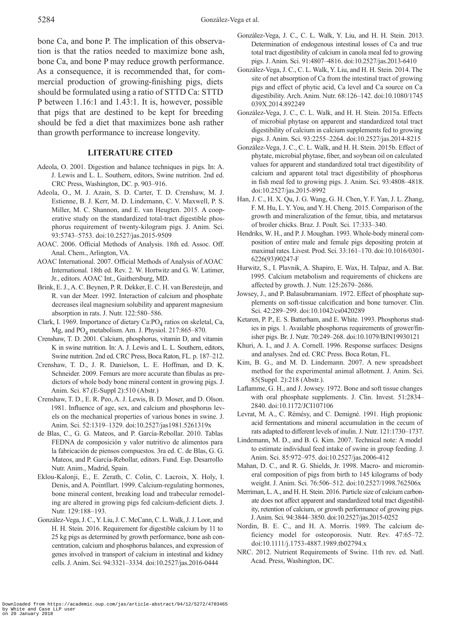bone Ca, and bone P. The implication of this observation is that the ratios needed to maximize bone ash, bone Ca, and bone P may reduce growth performance. As a consequence, it is recommended that, for commercial production of growing-finishing pigs, diets should be formulated using a ratio of STTD Ca: STTD P between 1.16:1 and 1.43:1. It is, however, possible that pigs that are destined to be kept for breeding should be fed a diet that maximizes bone ash rather than growth performance to increase longevity.

## **LITERATURE CITED**

- Adeola, O. 2001. Digestion and balance techniques in pigs. In: A. J. Lewis and L. L. Southern, editors, Swine nutrition. 2nd ed. CRC Press, Washington, DC. p. 903–916.
- Adeola, O., M. J. Azain, S. D. Carter, T. D. Crenshaw, M. J. Estienne, B. J. Kerr, M. D. Lindemann, C. V. Maxwell, P. S. Miller, M. C. Shannon, and E. van Heugten. 2015. A cooperative study on the standardized total-tract digestible phosphorus requirement of twenty-kilogram pigs. J. Anim. Sci. 93:5743–5753. doi:10.2527/jas.2015-9509
- AOAC. 2006. Official Methods of Analysis. 18th ed. Assoc. Off. Anal. Chem., Arlington, VA.
- AOAC International. 2007. Official Methods of Analysis of AOAC International. 18th ed. Rev. 2. W. Hortwitz and G. W. Latimer, Jr., editors. AOAC Int., Gaithersburg, MD.
- Brink, E. J., A. C. Beynen, P. R. Dekker, E. C. H. van Beresteijn, and R. van der Meer. 1992. Interaction of calcium and phosphate decreases ileal magnesium solubility and apparent magnesium absorption in rats. J. Nutr. 122:580–586.
- Clark, I. 1969. Importance of dietary  $CaPO<sub>4</sub>$  ratios on skeletal, Ca, Mg, and PO<sub>4</sub> metabolism. Am. J. Physiol. 217:865-870.
- Crenshaw, T. D. 2001. Calcium, phosphorus, vitamin D, and vitamin K in swine nutrition. In: A. J. Lewis and L. L. Southern, editors, Swine nutrition. 2nd ed. CRC Press, Boca Raton, FL. p. 187–212.
- Crenshaw, T. D., J. R. Danielson, L. E. Hoffman, and D. K. Schneider. 2009. Femurs are more accurate than fibulas as predictors of whole body bone mineral content in growing pigs. J. Anim. Sci. 87.(E-Suppl 2):510 (Abstr.)
- Crenshaw, T. D., E. R. Peo, A. J. Lewis, B. D. Moser, and D. Olson. 1981. Influence of age, sex, and calcium and phosphorus levels on the mechanical properties of various bones in swine. J. Anim. Sci. 52:1319–1329. doi:10.2527/jas1981.5261319x
- de Blas, C., G. G. Mateos, and P. García-Rebollar. 2010. Tablas FEDNA de composición y valor nutritivo de alimentos para la fabricación de piensos compuestos. 3ra ed. C. de Blas, G. G. Mateos, and P. García-Rebollar, editors. Fund. Esp. Desarrollo Nutr. Anim., Madrid, Spain.
- Eklou-Kalonji, E., E. Zerath, C. Colin, C. Lacroix, X. Holy, I. Denis, and A. Pointllart. 1999. Calcium-regulating hormones, bone mineral content, breaking load and trabecular remodeling are altered in growing pigs fed calcium-deficient diets. J. Nutr. 129:188–193.
- González-Vega, J. C., Y. Liu, J. C. McCann, C. L.Walk, J. J. Loor, and H. H. Stein. 2016. Requirement for digestible calcium by 11 to 25 kg pigs as determined by growth performance, bone ash concentration, calcium and phosphorus balances, and expression of genes involved in transport of calcium in intestinal and kidney cells. J. Anim. Sci. 94:3321–3334. doi:10.2527/jas.2016-0444
- González-Vega, J. C., C. L. Walk, Y. Liu, and H. H. Stein. 2013. Determination of endogenous intestinal losses of Ca and true total tract digestibility of calcium in canola meal fed to growing pigs. J. Anim. Sci. 91:4807–4816. doi:10.2527/jas.2013-6410
- González-Vega, J. C., C. L. Walk, Y. Liu, and H. H. Stein. 2014. The site of net absorption of Ca from the intestinal tract of growing pigs and effect of phytic acid, Ca level and Ca source on Ca digestibility. Arch. Anim. Nutr. 68:126–142. doi:10.1080/1745 039X.2014.892249
- González-Vega, J. C., C. L. Walk, and H. H. Stein. 2015a. Effects of microbial phytase on apparent and standardized total tract digestibility of calcium in calcium supplements fed to growing pigs. J. Anim. Sci. 93:2255–2264. doi:10.2527/jas.2014-8215
- González-Vega, J. C., C. L. Walk, and H. H. Stein. 2015b. Effect of phytate, microbial phytase, fiber, and soybean oil on calculated values for apparent and standardized total tract digestibility of calcium and apparent total tract digestibility of phosphorus in fish meal fed to growing pigs. J. Anim. Sci. 93:4808–4818. doi:10.2527/jas.2015-8992
- Han, J. C., H. X. Qu, J. G. Wang, G. H. Chen, Y. F. Yan, J. L. Zhang, F. M. Hu, L. Y. You, and Y. H. Cheng. 2015. Comparison of the growth and mineralization of the femur, tibia, and metatarsus of broiler chicks. Braz. J. Poult. Sci. 17:333–340.
- Hendriks, W. H., and P. J. Moughan. 1993. Whole-body mineral composition of entire male and female pigs depositing protein at maximal rates. Livest. Prod. Sci. 33:161–170. doi:10.1016/0301- 6226(93)90247-F
- Hurwitz, S., I. Plavnik, A. Shapiro, E. Wax, H. Talpaz, and A. Bar. 1995. Calcium metabolism and requirements of chickens are affected by growth. J. Nutr. 125:2679–2686.
- Jowsey, J., and P. Balasubramaniam. 1972. Effect of phosphate supplements on soft-tissue calcification and bone turnover. Clin. Sci. 42:289–299. doi:10.1042/cs0420289
- Ketaren, P. P., E. S. Batterham, and E. White. 1993. Phosphorus studies in pigs. 1. Available phosphorus requirements of grower/finisher pigs. Br. J. Nutr. 70:249–268. doi:10.1079/BJN19930121
- Khuri, A. I., and J. A. Cornell. 1996. Response surfaces: Designs and analyses. 2nd ed. CRC Press. Boca Rotan, FL.
- Kim, B. G., and M. D. Lindemann. 2007. A new spreadsheet method for the experimental animal allotment. J. Anim. Sci. 85(Suppl. 2):218 (Abstr.).
- Laflamme, G. H., and J. Jowsey. 1972. Bone and soft tissue changes with oral phosphate supplements. J. Clin. Invest. 51:2834– 2840. doi:10.1172/JCI107106
- Levrat, M. A., C. Rémésy, and C. Demigné. 1991. High propionic acid fermentations and mineral accumulation in the cecum of rats adapted to different levels of inulin. J. Nutr. 121:1730–1737.
- Lindemann, M. D., and B. G. Kim. 2007. Technical note: A model to estimate individual feed intake of swine in group feeding. J. Anim. Sci. 85:972–975. doi:10.2527/jas.2006-412
- Mahan, D. C., and R. G. Shields, Jr. 1998. Macro- and micromineral composition of pigs from birth to 145 kilograms of body weight. J. Anim. Sci. 76:506–512. doi:10.2527/1998.762506x
- Merriman, L. A., and H. H. Stein. 2016. Particle size of calcium carbonate does not affect apparent and standardized total tract digestibility, retention of calcium, or growth performance of growing pigs. J. Anim. Sci. 94:3844–3850. doi:10.2527/jas.2015-0252
- Nordin, B. E. C., and H. A. Morris. 1989. The calcium deficiency model for osteoporosis. Nutr. Rev. 47:65–72. doi:10.1111/j.1753-4887.1989.tb02794.x
- NRC. 2012. Nutrient Requirements of Swine. 11th rev. ed. Natl. Acad. Press, Washington, DC.